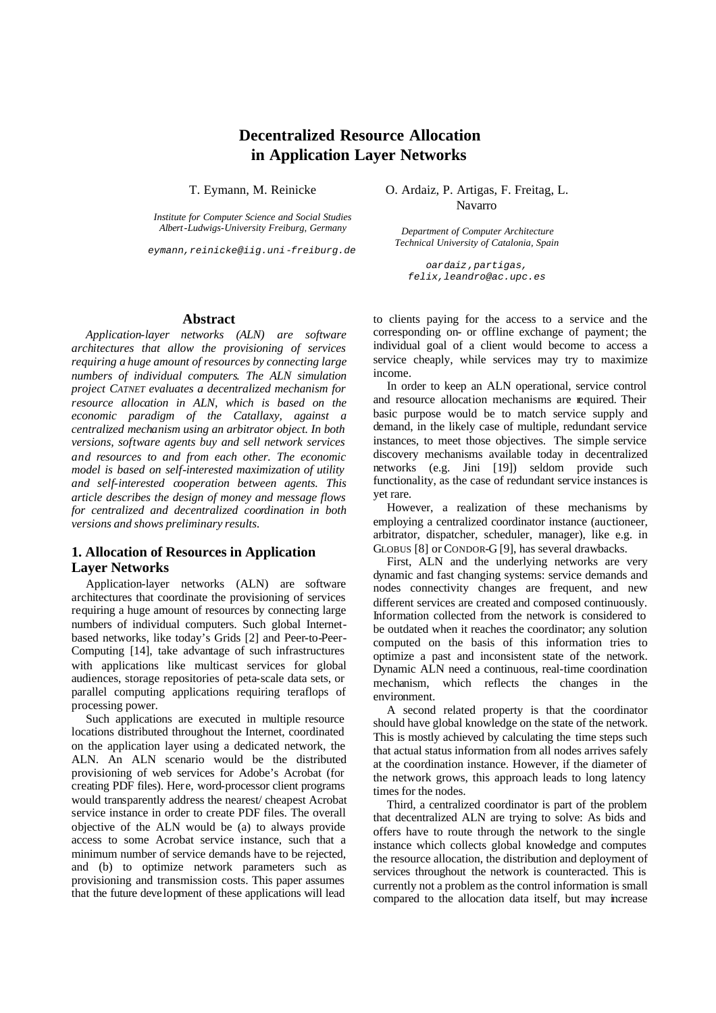# **Decentralized Resource Allocation in Application Layer Networks**

T. Eymann, M. Reinicke

*Institute for Computer Science and Social Studies Albert-Ludwigs-University Freiburg, Germany*

*eymann,reinicke@iig.uni-freiburg.de*

O. Ardaiz, P. Artigas, F. Freitag, L. Navarro

*Department of Computer Architecture Technical University of Catalonia, Spain*

*oardaiz,partigas, felix,leandro@ac.upc.es*

### **Abstract**

*Application-layer networks (ALN) are software architectures that allow the provisioning of services requiring a huge amount of resources by connecting large numbers of individual computers. The ALN simulation project CATNET evaluates a decentralized mechanism for resource allocation in ALN, which is based on the economic paradigm of the Catallaxy, against a centralized mechanism using an arbitrator object. In both versions, software agents buy and sell network services and resources to and from each other. The economic model is based on self-interested maximization of utility and self-interested cooperation between agents. This article describes the design of money and message flows for centralized and decentralized coordination in both versions and shows preliminary results.*

## **1. Allocation of Resources in Application Layer Networks**

Application-layer networks (ALN) are software architectures that coordinate the provisioning of services requiring a huge amount of resources by connecting large numbers of individual computers. Such global Internetbased networks, like today's Grids [2] and Peer-to-Peer-Computing [14], take advantage of such infrastructures with applications like multicast services for global audiences, storage repositories of peta-scale data sets, or parallel computing applications requiring teraflops of processing power.

Such applications are executed in multiple resource locations distributed throughout the Internet, coordinated on the application layer using a dedicated network, the ALN. An ALN scenario would be the distributed provisioning of web services for Adobe's Acrobat (for creating PDF files). Here, word-processor client programs would transparently address the nearest/ cheapest Acrobat service instance in order to create PDF files. The overall objective of the ALN would be (a) to always provide access to some Acrobat service instance, such that a minimum number of service demands have to be rejected, and (b) to optimize network parameters such as provisioning and transmission costs. This paper assumes that the future development of these applications will lead

to clients paying for the access to a service and the corresponding on- or offline exchange of payment; the individual goal of a client would become to access a service cheaply, while services may try to maximize income.

In order to keep an ALN operational, service control and resource allocation mechanisms are required. Their basic purpose would be to match service supply and demand, in the likely case of multiple, redundant service instances, to meet those objectives. The simple service discovery mechanisms available today in decentralized networks (e.g. Jini [19]) seldom provide such functionality, as the case of redundant service instances is yet rare.

However, a realization of these mechanisms by employing a centralized coordinator instance (auctioneer, arbitrator, dispatcher, scheduler, manager), like e.g. in GLOBUS [8] or CONDOR-G [9], has several drawbacks.

First, ALN and the underlying networks are very dynamic and fast changing systems: service demands and nodes connectivity changes are frequent, and new different services are created and composed continuously. Information collected from the network is considered to be outdated when it reaches the coordinator; any solution computed on the basis of this information tries to optimize a past and inconsistent state of the network. Dynamic ALN need a continuous, real-time coordination mechanism, which reflects the changes in the environment.

A second related property is that the coordinator should have global knowledge on the state of the network. This is mostly achieved by calculating the time steps such that actual status information from all nodes arrives safely at the coordination instance. However, if the diameter of the network grows, this approach leads to long latency times for the nodes.

Third, a centralized coordinator is part of the problem that decentralized ALN are trying to solve: As bids and offers have to route through the network to the single instance which collects global knowledge and computes the resource allocation, the distribution and deployment of services throughout the network is counteracted. This is currently not a problem as the control information is small compared to the allocation data itself, but may increase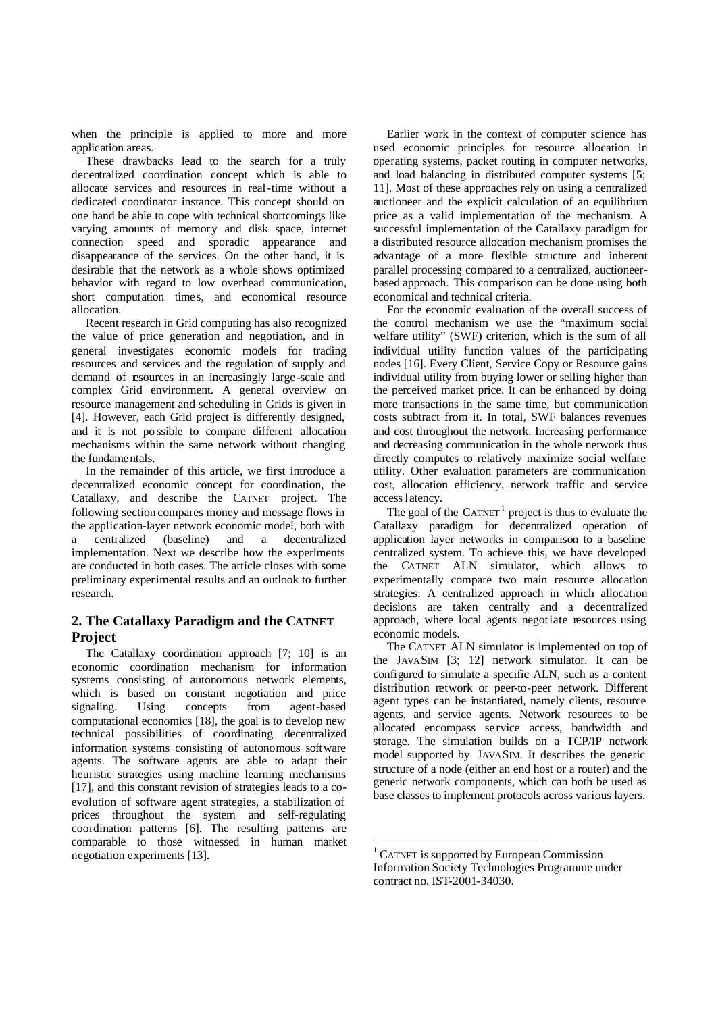when the principle is applied to more and more application areas.

These drawbacks lead to the search for a truly decentralized coordination concept which is able to allocate services and resources in real-time without a dedicated coordinator instance. This concept should on one hand be able to cope with technical shortcomings like varying amounts of memory and disk space, internet connection speed and sporadic appearance and disappearance of the services. On the other hand, it is desirable that the network as a whole shows optimized behavior with regard to low overhead communication, short computation times, and economical resource allocation.

Recent research in Grid computing has also recognized the value of price generation and negotiation, and in general investigates economic models for trading resources and services and the regulation of supply and demand of resources in an increasingly large-scale and complex Grid environment. A general overview on resource management and scheduling in Grids is given in [4]. However, each Grid project is differently designed, and it is not po ssible to compare different allocation mechanisms within the same network without changing the fundamentals.

In the remainder of this article, we first introduce a decentralized economic concept for coordination, the Catallaxy, and describe the CATNET project. The following section compares money and message flows in the application-layer network economic model, both with a centralized (baseline) and a decentralized implementation. Next we describe how the experiments are conducted in both cases. The article closes with some preliminary experimental results and an outlook to further research.

## **2. The Catallaxy Paradigm and the CATNET Project**

The Catallaxy coordination approach [7; 10] is an economic coordination mechanism for information systems consisting of autonomous network elements, which is based on constant negotiation and price signaling. Using concepts from agent-based computational economics [18], the goal is to develop new technical possibilities of coordinating decentralized information systems consisting of autonomous software agents. The software agents are able to adapt their heuristic strategies using machine learning mechanisms [17], and this constant revision of strategies leads to a coevolution of software agent strategies, a stabilization of prices throughout the system and self-regulating coordination patterns [6]. The resulting patterns are comparable to those witnessed in human market negotiation experiments [13].

Earlier work in the context of computer science has used economic principles for resource allocation in operating systems, packet routing in computer networks, and load balancing in distributed computer systems [5; 11]. Most of these approaches rely on using a centralized auctioneer and the explicit calculation of an equilibrium price as a valid implementation of the mechanism. A successful implementation of the Catallaxy paradigm for a distributed resource allocation mechanism promises the advantage of a more flexible structure and inherent parallel processing compared to a centralized, auctioneerbased approach. This comparison can be done using both economical and technical criteria.

For the economic evaluation of the overall success of the control mechanism we use the "maximum social welfare utility" (SWF) criterion, which is the sum of all individual utility function values of the participating nodes [16]. Every Client, Service Copy or Resource gains individual utility from buying lower or selling higher than the perceived market price. It can be enhanced by doing more transactions in the same time, but communication costs subtract from it. In total, SWF balances revenues and cost throughout the network. Increasing performance and decreasing communication in the whole network thus directly computes to relatively maximize social welfare utility. Other evaluation parameters are communication cost, allocation efficiency, network traffic and service access latency.

The goal of the  $CATNET<sup>1</sup>$  project is thus to evaluate the Catallaxy paradigm for decentralized operation of application layer networks in comparison to a baseline centralized system. To achieve this, we have developed the CATNET ALN simulator, which allows to experimentally compare two main resource allocation strategies: A centralized approach in which allocation decisions are taken centrally and a decentralized approach, where local agents negotiate resources using economic models.

The CATNET ALN simulator is implemented on top of the JAVASIM [3; 12] network simulator. It can be configured to simulate a specific ALN, such as a content distribution network or peer-to-peer network. Different agent types can be instantiated, namely clients, resource agents, and service agents. Network resources to be allocated encompass service access, bandwidth and storage. The simulation builds on a TCP/IP network model supported by JAVASIM. It describes the generic structure of a node (either an end host or a router) and the generic network components, which can both be used as base classes to implement protocols across various layers.

CATNET is supported by European Commission Information Society Technologies Programme under contract no. IST-2001-34030.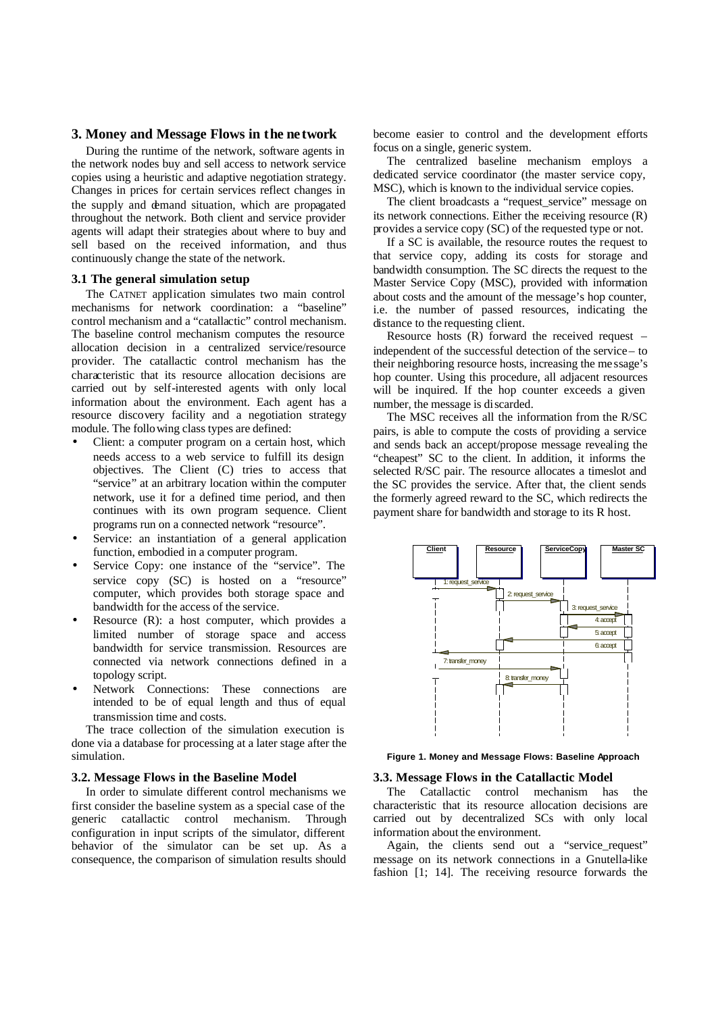#### **3. Money and Message Flows in the ne twork**

During the runtime of the network, software agents in the network nodes buy and sell access to network service copies using a heuristic and adaptive negotiation strategy. Changes in prices for certain services reflect changes in the supply and demand situation, which are propagated throughout the network. Both client and service provider agents will adapt their strategies about where to buy and sell based on the received information, and thus continuously change the state of the network.

#### **3.1 The general simulation setup**

The CATNET application simulates two main control mechanisms for network coordination: a "baseline" control mechanism and a "catallactic" control mechanism. The baseline control mechanism computes the resource allocation decision in a centralized service/resource provider. The catallactic control mechanism has the characteristic that its resource allocation decisions are carried out by self-interested agents with only local information about the environment. Each agent has a resource discovery facility and a negotiation strategy module. The following class types are defined:

- Client: a computer program on a certain host, which needs access to a web service to fulfill its design objectives. The Client (C) tries to access that "service" at an arbitrary location within the computer network, use it for a defined time period, and then continues with its own program sequence. Client programs run on a connected network "resource".
- Service: an instantiation of a general application function, embodied in a computer program.
- Service Copy: one instance of the "service". The service copy (SC) is hosted on a "resource" computer, which provides both storage space and bandwidth for the access of the service.
- Resource (R): a host computer, which provides a limited number of storage space and access bandwidth for service transmission. Resources are connected via network connections defined in a topology script.
- Network Connections: These connections are intended to be of equal length and thus of equal transmission time and costs.

The trace collection of the simulation execution is done via a database for processing at a later stage after the simulation.

### **3.2. Message Flows in the Baseline Model**

In order to simulate different control mechanisms we first consider the baseline system as a special case of the generic catallactic control mechanism. Through configuration in input scripts of the simulator, different behavior of the simulator can be set up. As a consequence, the comparison of simulation results should

become easier to control and the development efforts focus on a single, generic system.

The centralized baseline mechanism employs a dedicated service coordinator (the master service copy, MSC), which is known to the individual service copies.

The client broadcasts a "request service" message on its network connections. Either the receiving resource (R) provides a service copy (SC) of the requested type or not.

If a SC is available, the resource routes the request to that service copy, adding its costs for storage and bandwidth consumption. The SC directs the request to the Master Service Copy (MSC), provided with information about costs and the amount of the message's hop counter, i.e. the number of passed resources, indicating the distance to the requesting client.

Resource hosts  $(R)$  forward the received request – independent of the successful detection of the service – to their neighboring resource hosts, increasing the me ssage's hop counter. Using this procedure, all adjacent resources will be inquired. If the hop counter exceeds a given number, the message is discarded.

The MSC receives all the information from the R/SC pairs, is able to compute the costs of providing a service and sends back an accept/propose message revealing the "cheapest" SC to the client. In addition, it informs the selected R/SC pair. The resource allocates a timeslot and the SC provides the service. After that, the client sends the formerly agreed reward to the SC, which redirects the payment share for bandwidth and storage to its R host.



**Figure 1. Money and Message Flows: Baseline Approach**

### **3.3. Message Flows in the Catallactic Model**

The Catallactic control mechanism has the characteristic that its resource allocation decisions are carried out by decentralized SCs with only local information about the environment.

Again, the clients send out a "service request" message on its network connections in a Gnutella-like fashion [1; 14]. The receiving resource forwards the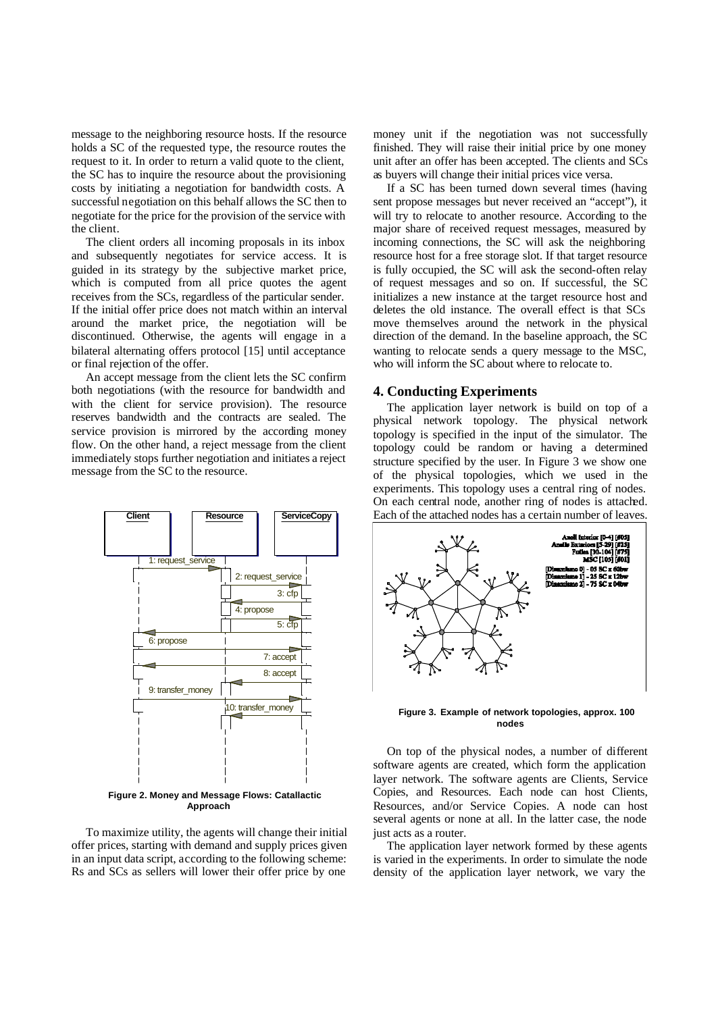message to the neighboring resource hosts. If the resource holds a SC of the requested type, the resource routes the request to it. In order to return a valid quote to the client, the SC has to inquire the resource about the provisioning costs by initiating a negotiation for bandwidth costs. A successful negotiation on this behalf allows the SC then to negotiate for the price for the provision of the service with the client.

The client orders all incoming proposals in its inbox and subsequently negotiates for service access. It is guided in its strategy by the subjective market price, which is computed from all price quotes the agent receives from the SCs, regardless of the particular sender. If the initial offer price does not match within an interval around the market price, the negotiation will be discontinued. Otherwise, the agents will engage in a bilateral alternating offers protocol [15] until acceptance or final rejection of the offer.

An accept message from the client lets the SC confirm both negotiations (with the resource for bandwidth and with the client for service provision). The resource reserves bandwidth and the contracts are sealed. The service provision is mirrored by the according money flow. On the other hand, a reject message from the client immediately stops further negotiation and initiates a reject message from the SC to the resource.



To maximize utility, the agents will change their initial offer prices, starting with demand and supply prices given in an input data script, according to the following scheme: Rs and SCs as sellers will lower their offer price by one

money unit if the negotiation was not successfully finished. They will raise their initial price by one money unit after an offer has been accepted. The clients and SCs as buyers will change their initial prices vice versa.

If a SC has been turned down several times (having sent propose messages but never received an "accept"), it will try to relocate to another resource. According to the major share of received request messages, measured by incoming connections, the SC will ask the neighboring resource host for a free storage slot. If that target resource is fully occupied, the SC will ask the second-often relay of request messages and so on. If successful, the SC initializes a new instance at the target resource host and deletes the old instance. The overall effect is that SCs move themselves around the network in the physical direction of the demand. In the baseline approach, the SC wanting to relocate sends a query message to the MSC, who will inform the SC about where to relocate to.

### **4. Conducting Experiments**

The application layer network is build on top of a physical network topology. The physical network topology is specified in the input of the simulator. The topology could be random or having a determined structure specified by the user. In Figure 3 we show one of the physical topologies, which we used in the experiments. This topology uses a central ring of nodes. On each central node, another ring of nodes is attached. Each of the attached nodes has a certain number of leaves.



**Figure 3. Example of network topologies, approx. 100 nodes**

On top of the physical nodes, a number of different software agents are created, which form the application layer network. The software agents are Clients, Service Copies, and Resources. Each node can host Clients, Resources, and/or Service Copies. A node can host several agents or none at all. In the latter case, the node just acts as a router.

The application layer network formed by these agents is varied in the experiments. In order to simulate the node density of the application layer network, we vary the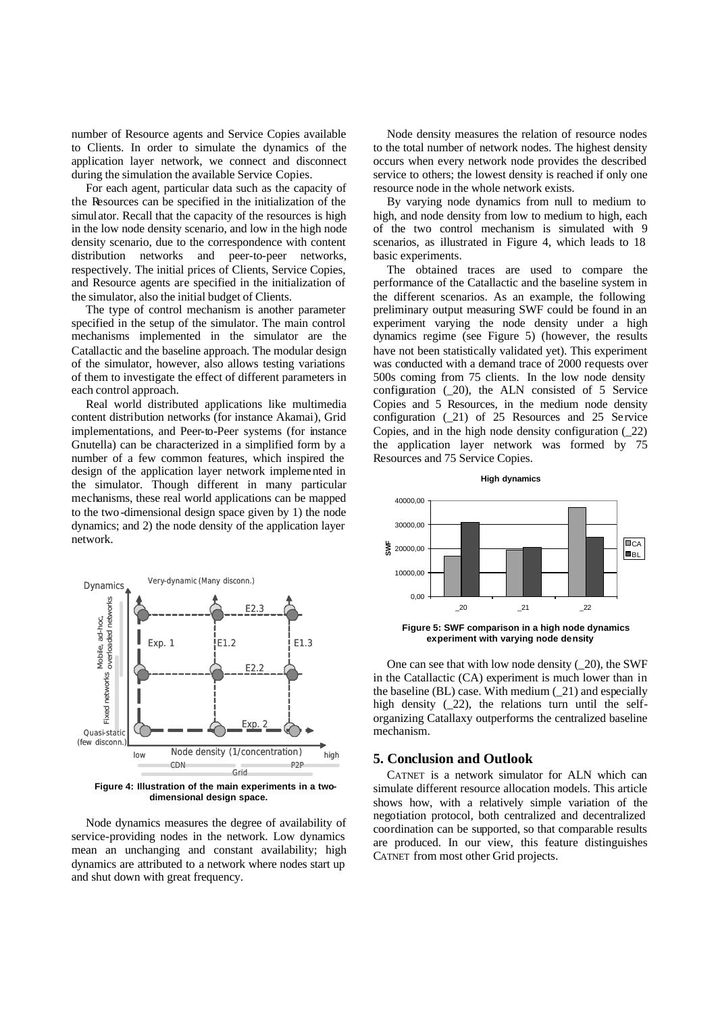number of Resource agents and Service Copies available to Clients. In order to simulate the dynamics of the application layer network, we connect and disconnect during the simulation the available Service Copies.

For each agent, particular data such as the capacity of the Resources can be specified in the initialization of the simulator. Recall that the capacity of the resources is high in the low node density scenario, and low in the high node density scenario, due to the correspondence with content distribution networks and peer-to-peer networks, respectively. The initial prices of Clients, Service Copies, and Resource agents are specified in the initialization of the simulator, also the initial budget of Clients.

The type of control mechanism is another parameter specified in the setup of the simulator. The main control mechanisms implemented in the simulator are the Catallactic and the baseline approach. The modular design of the simulator, however, also allows testing variations of them to investigate the effect of different parameters in each control approach.

Real world distributed applications like multimedia content distribution networks (for instance Akamai), Grid implementations, and Peer-to-Peer systems (for instance Gnutella) can be characterized in a simplified form by a number of a few common features, which inspired the design of the application layer network implemented in the simulator. Though different in many particular mechanisms, these real world applications can be mapped to the two-dimensional design space given by 1) the node dynamics; and 2) the node density of the application layer network.



**Figure 4: Illustration of the main experiments in a twodimensional design space.**

Node dynamics measures the degree of availability of service-providing nodes in the network. Low dynamics mean an unchanging and constant availability; high dynamics are attributed to a network where nodes start up and shut down with great frequency.

Node density measures the relation of resource nodes to the total number of network nodes. The highest density occurs when every network node provides the described service to others; the lowest density is reached if only one resource node in the whole network exists.

By varying node dynamics from null to medium to high, and node density from low to medium to high, each of the two control mechanism is simulated with 9 scenarios, as illustrated in Figure 4, which leads to 18 basic experiments.

The obtained traces are used to compare the performance of the Catallactic and the baseline system in the different scenarios. As an example, the following preliminary output measuring SWF could be found in an experiment varying the node density under a high dynamics regime (see Figure 5) (however, the results have not been statistically validated yet). This experiment was conducted with a demand trace of 2000 requests over 500s coming from 75 clients. In the low node density configuration (\_20), the ALN consisted of 5 Service Copies and 5 Resources, in the medium node density configuration (\_21) of 25 Resources and 25 Service Copies, and in the high node density configuration (\_22) the application layer network was formed by 75 Resources and 75 Service Copies.



**Figure 5: SWF comparison in a high node dynamics experiment with varying node density**

One can see that with low node density (\_20), the SWF in the Catallactic (CA) experiment is much lower than in the baseline (BL) case. With medium (\_21) and especially high density (22), the relations turn until the selforganizing Catallaxy outperforms the centralized baseline mechanism.

#### **5. Conclusion and Outlook**

CATNET is a network simulator for ALN which can simulate different resource allocation models. This article shows how, with a relatively simple variation of the negotiation protocol, both centralized and decentralized coordination can be supported, so that comparable results are produced. In our view, this feature distinguishes CATNET from most other Grid projects.